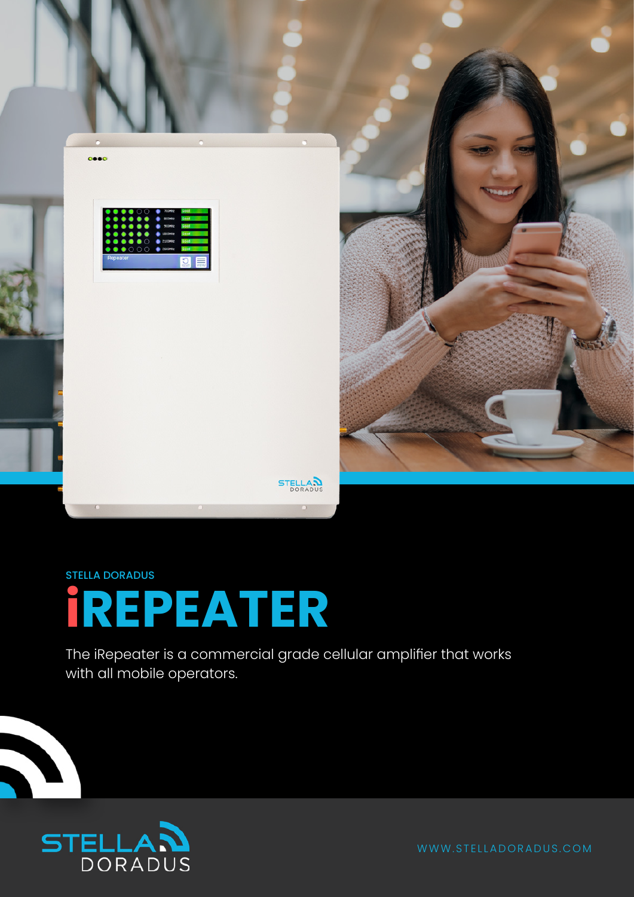

#### STELLA DORADUS

# **iREPEATER**

The iRepeater is a commercial grade cellular amplifier that works with all mobile operators.

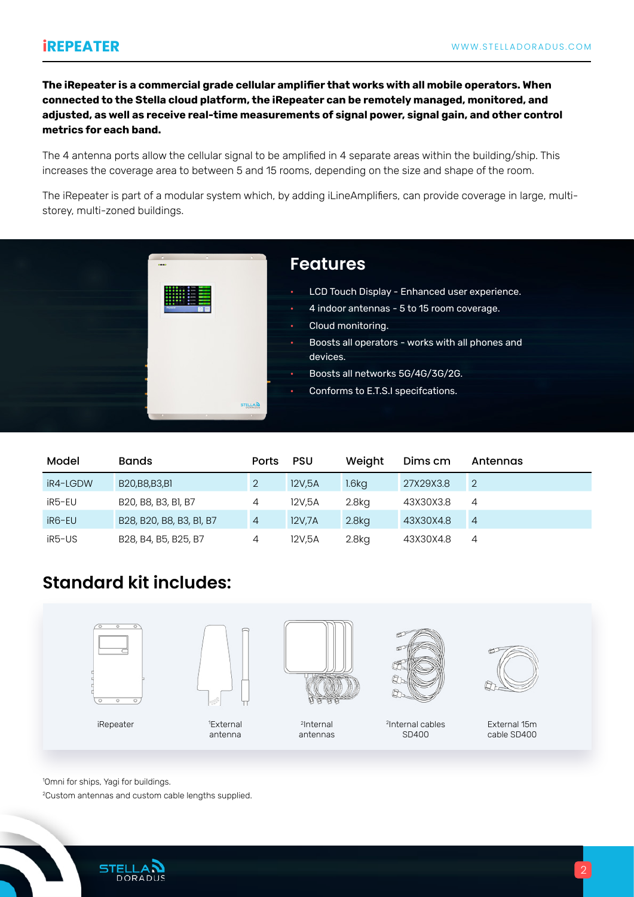**The iRepeater is a commercial grade cellular amplifier that works with all mobile operators. When connected to the Stella cloud platform, the iRepeater can be remotely managed, monitored, and adjusted, as well as receive real-time measurements of signal power, signal gain, and other control metrics for each band.**

The 4 antenna ports allow the cellular signal to be amplified in 4 separate areas within the building/ship. This increases the coverage area to between 5 and 15 rooms, depending on the size and shape of the room.

The iRepeater is part of a modular system which, by adding iLineAmplifiers, can provide coverage in large, multistorey, multi-zoned buildings.



| Model    | <b>Bands</b>             | <b>Ports</b> | <b>PSU</b> | Weight            | Dims cm   | Antennas       |
|----------|--------------------------|--------------|------------|-------------------|-----------|----------------|
| iR4-LGDW | B20, B8, B3, B1          |              | 12V.5A     | 1.6 <sub>k</sub>  | 27X29X3.8 | $\overline{2}$ |
| iR5-EU   | B20, B8, B3, B1, B7      | 4            | 12V.5A     | 2.8 <sub>kq</sub> | 43X30X3.8 | 4              |
| iR6-EU   | B28, B20, B8, B3, B1, B7 | 4            | 12V,7A     | 2.8 <sub>kq</sub> | 43X30X4.8 | $\overline{4}$ |
| iR5-US   | B28, B4, B5, B25, B7     | 4            | 12V.5A     | 2.8 <sub>kq</sub> | 43X30X4.8 | 4              |

### **Standard kit includes:**



1 Omni for ships, Yagi for buildings.

2 Custom antennas and custom cable lengths supplied.

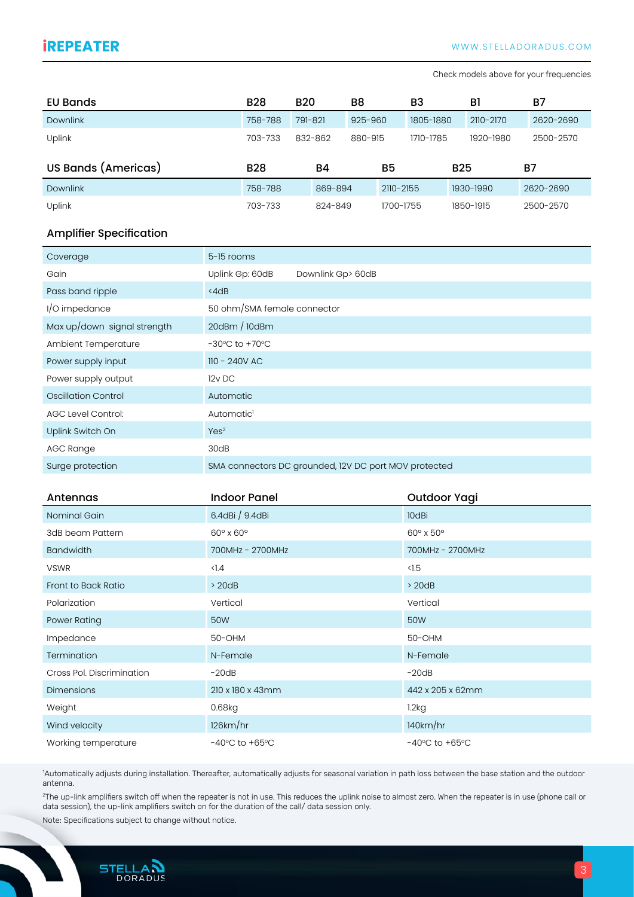Check models above for your frequencies

| EU Bands            | <b>B28</b> | <b>B20</b> | B8            | B <sub>3</sub> | BI         | B7        |
|---------------------|------------|------------|---------------|----------------|------------|-----------|
| <b>Downlink</b>     | 758-788    | 791-821    | $925 - 960$   | 1805-1880      | 2110-2170  | 2620-2690 |
| Uplink              | 703-733    | 832-862    | 880-915       | 1710-1785      | 1920-1980  | 2500-2570 |
|                     |            |            |               |                |            |           |
| US Bands (Americas) | <b>B28</b> | <b>B4</b>  | <b>B5</b>     |                | <b>B25</b> | B7        |
| <b>Downlink</b>     | 758-788    | 869-894    | $2110 - 2155$ |                | 1930-1990  | 2620-2690 |

#### Amplifier Specification

| Coverage                    | 5-15 rooms                                            |
|-----------------------------|-------------------------------------------------------|
| Gain                        | Uplink Gp: 60dB<br>Downlink Gp> 60dB                  |
| Pass band ripple            | $\triangle$ 4dB                                       |
| I/O impedance               | 50 ohm/SMA female connector                           |
| Max up/down signal strength | 20dBm / 10dBm                                         |
| Ambient Temperature         | $-30^{\circ}$ C to $+70^{\circ}$ C                    |
| Power supply input          | 110 - 240V AC                                         |
| Power supply output         | 12v DC                                                |
| Oscillation Control         | Automatic                                             |
| <b>AGC Level Control:</b>   | Automatic <sup>1</sup>                                |
| Uplink Switch On            | Yes <sup>2</sup>                                      |
| AGC Range                   | 30dB                                                  |
| Surge protection            | SMA connectors DC grounded, I2V DC port MOV protected |

| Antennas                  | <b>Indoor Panel</b>                | Outdoor Yagi                       |
|---------------------------|------------------------------------|------------------------------------|
| Nominal Gain              | 6.4dBi / 9.4dBi                    | 10dBi                              |
| 3dB beam Pattern          | $60^\circ \times 60^\circ$         | 60° x 50°                          |
| <b>Bandwidth</b>          | 700MHz - 2700MHz                   | 700MHz - 2700MHz                   |
| <b>VSWR</b>               | $\langle$ ].4                      | $\triangleleft$ .5                 |
| Front to Back Ratio       | > 20dB                             | >20dB                              |
| Polarization              | Vertical                           | Vertical                           |
| Power Rating              | 50W                                | 50W                                |
| Impedance                 | 50-OHM                             | 50-OHM                             |
| Termination               | N-Female                           | N-Female                           |
| Cross Pol. Discrimination | $-20dB$                            | $-20dB$                            |
| <b>Dimensions</b>         | 210 x 180 x 43mm                   | 442 x 205 x 62mm                   |
| Weight                    | 0.68kg                             | 1.2kg                              |
| Wind velocity             | 126km/hr                           | 140km/hr                           |
| Working temperature       | $-40^{\circ}$ C to $+65^{\circ}$ C | $-40^{\circ}$ C to $+65^{\circ}$ C |

1 Automatically adjusts during installation. Thereafter, automatically adjusts for seasonal variation in path loss between the base station and the outdoor antenna.

2 The up-link amplifiers switch off when the repeater is not in use. This reduces the uplink noise to almost zero. When the repeater is in use (phone call or data session), the up-link amplifiers switch on for the duration of the call/ data session only.

Note: Specifications subject to change without notice.

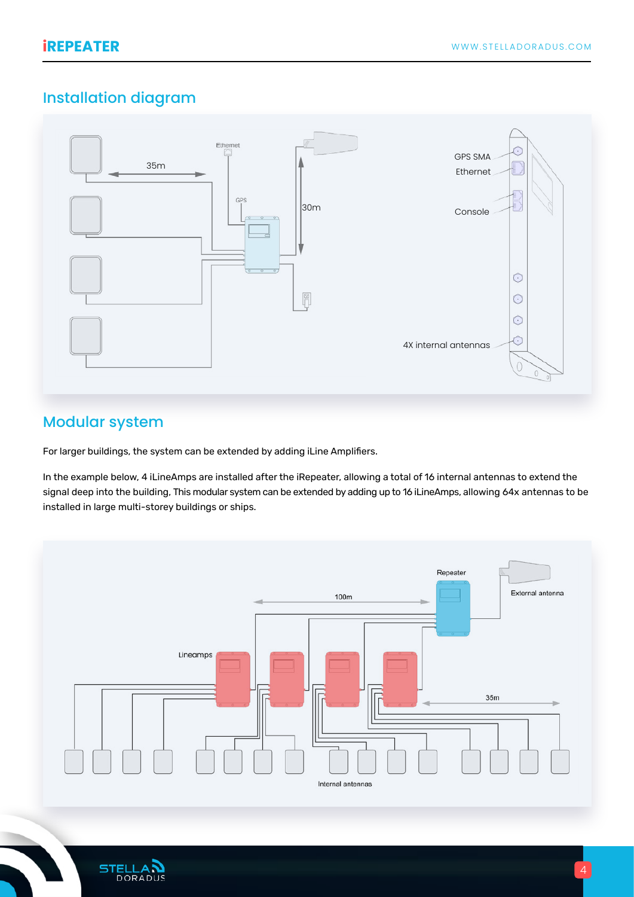## Installation diagram



#### Modular system

For larger buildings, the system can be extended by adding iLine Amplifiers.

In the example below, 4 iLineAmps are installed after the iRepeater, allowing a total of 16 internal antennas to extend the signal deep into the building, This modular system can be extended by adding up to 16 iLineAmps, allowing 64x antennas to be installed in large multi-storey buildings or ships.



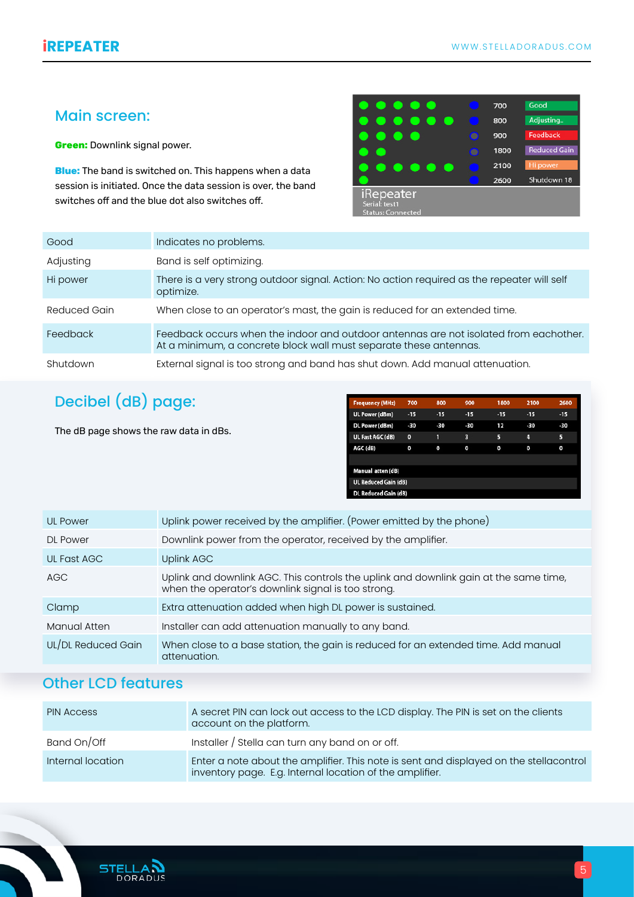#### Main screen:

**Green:** Downlink signal power.

**Blue:** The band is switched on. This happens when a data session is initiated. Once the data session is over, the band switches off and the blue dot also switches off.

| <b>Security</b><br>- 0<br>. .<br>c                            |   | 700  | Good                |
|---------------------------------------------------------------|---|------|---------------------|
| O<br>C.                                                       |   | 800  | Adjusting           |
|                                                               |   | 900  | Feedback            |
|                                                               | ø | 1800 | <b>Reduced Gain</b> |
| o<br><b>CONTRACTOR</b>                                        |   | 2100 | Hi power            |
|                                                               |   | 2600 | Shutdown 18         |
| <b>iRepeater</b><br>Serial: test1<br><b>Status: Connected</b> |   |      |                     |

| Good         | Indicates no problems.                                                                                                                                     |
|--------------|------------------------------------------------------------------------------------------------------------------------------------------------------------|
| Adjusting    | Band is self optimizing.                                                                                                                                   |
| Hi power     | There is a very strong outdoor signal. Action: No action required as the repeater will self<br>optimize.                                                   |
| Reduced Gain | When close to an operator's mast, the gain is reduced for an extended time.                                                                                |
| Feedback     | Feedback occurs when the indoor and outdoor antennas are not isolated from eachother.<br>At a minimum, a concrete block wall must separate these antennas. |
| Shutdown     | External signal is too strong and band has shut down. Add manual attenuation.                                                                              |

## Decibel (dB) page:

The dB page shows the raw data in dBs.

| <b>Frequency (MHz)</b>      | 700         | 800   | 900   | 1800  | 2100  | 2600  |
|-----------------------------|-------------|-------|-------|-------|-------|-------|
| <b>UL Power (dBm)</b>       | $-15$       | $-15$ | $-15$ | $-15$ | $-15$ | $-15$ |
| DL Power (dBm)              | -30         | $-30$ | $-30$ | 12    | -30   | -30   |
| UL Fast AGC (dB)            | $\mathbf o$ | 1     | з     | 5     | 4     | 5     |
| AGC (dB)                    | 0           | 0     | 0     | 0     | 0     | o     |
|                             |             |       |       |       |       |       |
| Manual atten (dB)           |             |       |       |       |       |       |
| <b>UL Reduced Gain (dB)</b> |             |       |       |       |       |       |
| <b>DL Reduced Gain (dB)</b> |             |       |       |       |       |       |

| <b>UL Power</b>    | Uplink power received by the amplifier. (Power emitted by the phone)                                                                        |
|--------------------|---------------------------------------------------------------------------------------------------------------------------------------------|
| <b>DL Power</b>    | Downlink power from the operator, received by the amplifier.                                                                                |
| UL Fast AGC        | Uplink AGC                                                                                                                                  |
| AGC                | Uplink and downlink AGC. This controls the uplink and downlink gain at the same time,<br>when the operator's downlink signal is too strong. |
| Clamp              | Extra attenuation added when high DL power is sustained.                                                                                    |
| Manual Atten       | Installer can add attenuation manually to any band.                                                                                         |
| UL/DL Reduced Gain | When close to a base station, the gain is reduced for an extended time. Add manual<br>attenuation.                                          |

#### Other LCD features

| <b>PIN Access</b> | A secret PIN can lock out access to the LCD display. The PIN is set on the clients<br>account on the platform.                                     |
|-------------------|----------------------------------------------------------------------------------------------------------------------------------------------------|
| Band On/Off       | Installer / Stella can turn any band on or off.                                                                                                    |
| Internal location | Enter a note about the amplifier. This note is sent and displayed on the stellacontrol<br>inventory page. E.g. Internal location of the amplifier. |